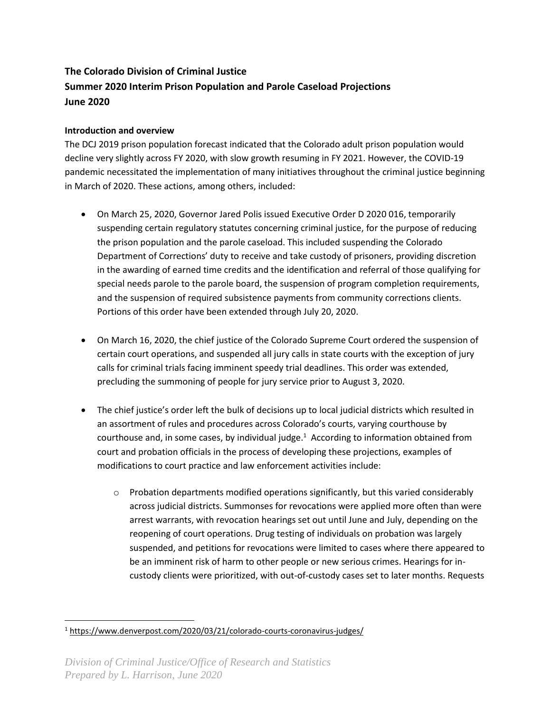# **The Colorado Division of Criminal Justice Summer 2020 Interim Prison Population and Parole Caseload Projections June 2020**

# **Introduction and overview**

The DCJ 2019 prison population forecast indicated that the Colorado adult prison population would decline very slightly across FY 2020, with slow growth resuming in FY 2021. However, the COVID-19 pandemic necessitated the implementation of many initiatives throughout the criminal justice beginning in March of 2020. These actions, among others, included:

- On March 25, 2020, Governor Jared Polis issued Executive Order D 2020 016, temporarily suspending certain regulatory statutes concerning criminal justice, for the purpose of reducing the prison population and the parole caseload. This included suspending the Colorado Department of Corrections' duty to receive and take custody of prisoners, providing discretion in the awarding of earned time credits and the identification and referral of those qualifying for special needs parole to the parole board, the suspension of program completion requirements, and the suspension of required subsistence payments from community corrections clients. Portions of this order have been extended through July 20, 2020.
- On March 16, 2020, the chief justice of the Colorado Supreme Court ordered the suspension of certain court operations, and suspended all jury calls in state courts with the exception of jury calls for criminal trials facing imminent speedy trial deadlines. This order was extended, precluding the summoning of people for jury service prior to August 3, 2020.
- The chief justice's order left the bulk of decisions up to local judicial districts which resulted in an assortment of rules and procedures across Colorado's courts, varying courthouse by courthouse and, in some cases, by individual judge. $1$  According to information obtained from court and probation officials in the process of developing these projections, examples of modifications to court practice and law enforcement activities include:
	- $\circ$  Probation departments modified operations significantly, but this varied considerably across judicial districts. Summonses for revocations were applied more often than were arrest warrants, with revocation hearings set out until June and July, depending on the reopening of court operations. Drug testing of individuals on probation was largely suspended, and petitions for revocations were limited to cases where there appeared to be an imminent risk of harm to other people or new serious crimes. Hearings for incustody clients were prioritized, with out-of-custody cases set to later months. Requests

<sup>1</sup> <https://www.denverpost.com/2020/03/21/colorado-courts-coronavirus-judges/>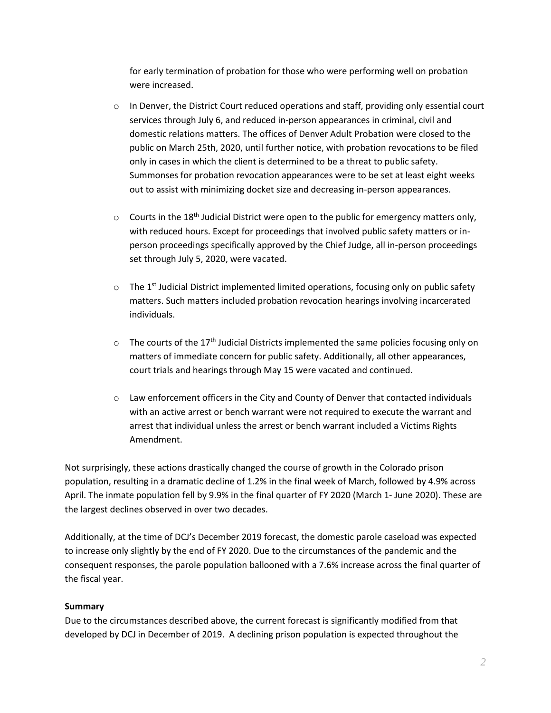for early termination of probation for those who were performing well on probation were increased.

- $\circ$  In Denver, the District Court reduced operations and staff, providing only essential court services through July 6, and reduced in-person appearances in criminal, civil and domestic relations matters. The offices of Denver Adult Probation were closed to the public on March 25th, 2020, until further notice, with probation revocations to be filed only in cases in which the client is determined to be a threat to public safety. Summonses for probation revocation appearances were to be set at least eight weeks out to assist with minimizing docket size and decreasing in-person appearances.
- $\circ$  Courts in the 18<sup>th</sup> Judicial District were open to the public for emergency matters only, with reduced hours. Except for proceedings that involved public safety matters or inperson proceedings specifically approved by the Chief Judge, all in-person proceedings set through July 5, 2020, were vacated.
- $\circ$  The 1<sup>st</sup> Judicial District implemented limited operations, focusing only on public safety matters. Such matters included probation revocation hearings involving incarcerated individuals.
- $\circ$  The courts of the 17<sup>th</sup> Judicial Districts implemented the same policies focusing only on matters of immediate concern for public safety. Additionally, all other appearances, court trials and hearings through May 15 were vacated and continued.
- $\circ$  Law enforcement officers in the City and County of Denver that contacted individuals with an active arrest or bench warrant were not required to execute the warrant and arrest that individual unless the arrest or bench warrant included a Victims Rights Amendment.

Not surprisingly, these actions drastically changed the course of growth in the Colorado prison population, resulting in a dramatic decline of 1.2% in the final week of March, followed by 4.9% across April. The inmate population fell by 9.9% in the final quarter of FY 2020 (March 1- June 2020). These are the largest declines observed in over two decades.

Additionally, at the time of DCJ's December 2019 forecast, the domestic parole caseload was expected to increase only slightly by the end of FY 2020. Due to the circumstances of the pandemic and the consequent responses, the parole population ballooned with a 7.6% increase across the final quarter of the fiscal year.

# **Summary**

Due to the circumstances described above, the current forecast is significantly modified from that developed by DCJ in December of 2019. A declining prison population is expected throughout the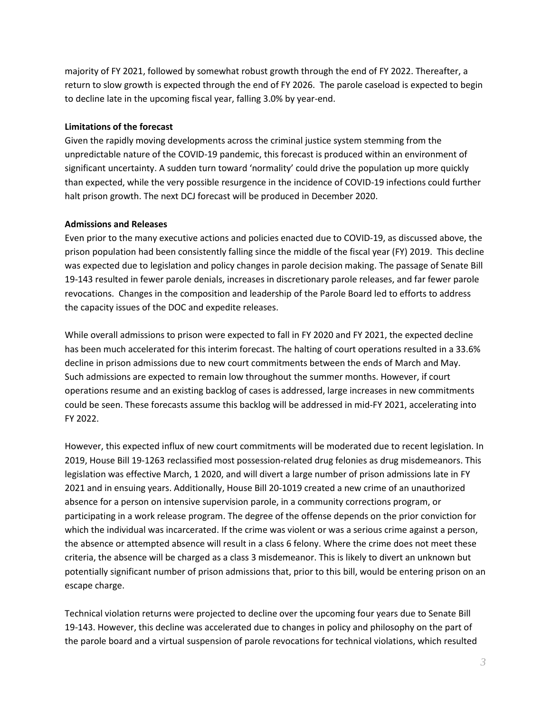majority of FY 2021, followed by somewhat robust growth through the end of FY 2022. Thereafter, a return to slow growth is expected through the end of FY 2026. The parole caseload is expected to begin to decline late in the upcoming fiscal year, falling 3.0% by year-end.

#### **Limitations of the forecast**

Given the rapidly moving developments across the criminal justice system stemming from the unpredictable nature of the COVID-19 pandemic, this forecast is produced within an environment of significant uncertainty. A sudden turn toward 'normality' could drive the population up more quickly than expected, while the very possible resurgence in the incidence of COVID-19 infections could further halt prison growth. The next DCJ forecast will be produced in December 2020.

#### **Admissions and Releases**

Even prior to the many executive actions and policies enacted due to COVID-19, as discussed above, the prison population had been consistently falling since the middle of the fiscal year (FY) 2019. This decline was expected due to legislation and policy changes in parole decision making. The passage of Senate Bill 19-143 resulted in fewer parole denials, increases in discretionary parole releases, and far fewer parole revocations. Changes in the composition and leadership of the Parole Board led to efforts to address the capacity issues of the DOC and expedite releases.

While overall admissions to prison were expected to fall in FY 2020 and FY 2021, the expected decline has been much accelerated for this interim forecast. The halting of court operations resulted in a 33.6% decline in prison admissions due to new court commitments between the ends of March and May. Such admissions are expected to remain low throughout the summer months. However, if court operations resume and an existing backlog of cases is addressed, large increases in new commitments could be seen. These forecasts assume this backlog will be addressed in mid-FY 2021, accelerating into FY 2022.

However, this expected influx of new court commitments will be moderated due to recent legislation. In 2019, House Bill 19-1263 reclassified most possession-related drug felonies as drug misdemeanors. This legislation was effective March, 1 2020, and will divert a large number of prison admissions late in FY 2021 and in ensuing years. Additionally, House Bill 20-1019 created a new crime of an unauthorized absence for a person on intensive supervision parole, in a community corrections program, or participating in a work release program. The degree of the offense depends on the prior conviction for which the individual was incarcerated. If the crime was violent or was a serious crime against a person, the absence or attempted absence will result in a class 6 felony. Where the crime does not meet these criteria, the absence will be charged as a class 3 misdemeanor. This is likely to divert an unknown but potentially significant number of prison admissions that, prior to this bill, would be entering prison on an escape charge.

Technical violation returns were projected to decline over the upcoming four years due to Senate Bill 19-143. However, this decline was accelerated due to changes in policy and philosophy on the part of the parole board and a virtual suspension of parole revocations for technical violations, which resulted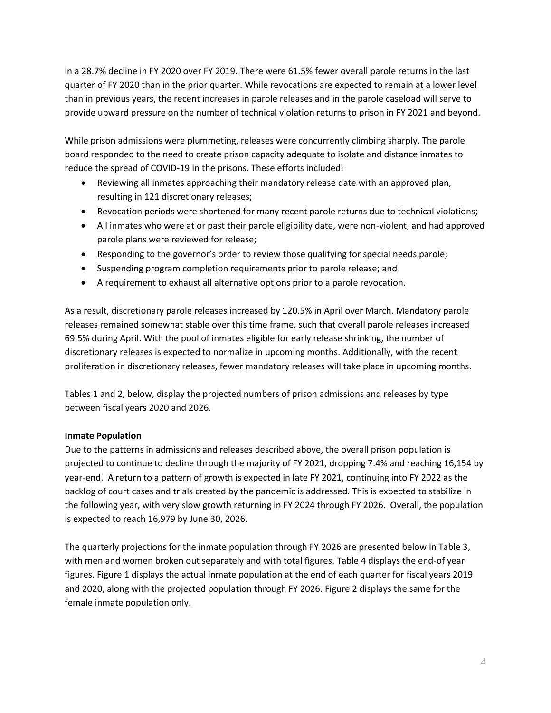in a 28.7% decline in FY 2020 over FY 2019. There were 61.5% fewer overall parole returns in the last quarter of FY 2020 than in the prior quarter. While revocations are expected to remain at a lower level than in previous years, the recent increases in parole releases and in the parole caseload will serve to provide upward pressure on the number of technical violation returns to prison in FY 2021 and beyond.

While prison admissions were plummeting, releases were concurrently climbing sharply. The parole board responded to the need to create prison capacity adequate to isolate and distance inmates to reduce the spread of COVID-19 in the prisons. These efforts included:

- Reviewing all inmates approaching their mandatory release date with an approved plan, resulting in 121 discretionary releases;
- Revocation periods were shortened for many recent parole returns due to technical violations;
- All inmates who were at or past their parole eligibility date, were non-violent, and had approved parole plans were reviewed for release;
- Responding to the governor's order to review those qualifying for special needs parole;
- Suspending program completion requirements prior to parole release; and
- A requirement to exhaust all alternative options prior to a parole revocation.

As a result, discretionary parole releases increased by 120.5% in April over March. Mandatory parole releases remained somewhat stable over this time frame, such that overall parole releases increased 69.5% during April. With the pool of inmates eligible for early release shrinking, the number of discretionary releases is expected to normalize in upcoming months. Additionally, with the recent proliferation in discretionary releases, fewer mandatory releases will take place in upcoming months.

Tables 1 and 2, below, display the projected numbers of prison admissions and releases by type between fiscal years 2020 and 2026.

## **Inmate Population**

Due to the patterns in admissions and releases described above, the overall prison population is projected to continue to decline through the majority of FY 2021, dropping 7.4% and reaching 16,154 by year-end. A return to a pattern of growth is expected in late FY 2021, continuing into FY 2022 as the backlog of court cases and trials created by the pandemic is addressed. This is expected to stabilize in the following year, with very slow growth returning in FY 2024 through FY 2026. Overall, the population is expected to reach 16,979 by June 30, 2026.

The quarterly projections for the inmate population through FY 2026 are presented below in Table 3, with men and women broken out separately and with total figures. Table 4 displays the end-of year figures. Figure 1 displays the actual inmate population at the end of each quarter for fiscal years 2019 and 2020, along with the projected population through FY 2026. Figure 2 displays the same for the female inmate population only.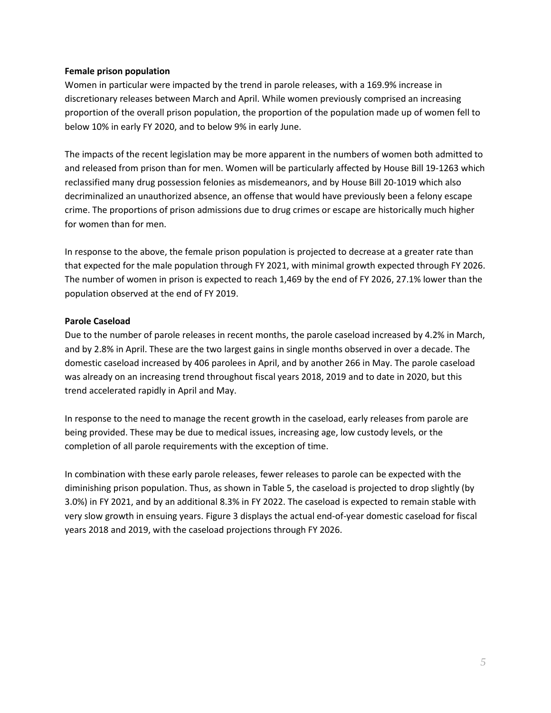#### **Female prison population**

Women in particular were impacted by the trend in parole releases, with a 169.9% increase in discretionary releases between March and April. While women previously comprised an increasing proportion of the overall prison population, the proportion of the population made up of women fell to below 10% in early FY 2020, and to below 9% in early June.

The impacts of the recent legislation may be more apparent in the numbers of women both admitted to and released from prison than for men. Women will be particularly affected by House Bill 19-1263 which reclassified many drug possession felonies as misdemeanors, and by House Bill 20-1019 which also decriminalized an unauthorized absence, an offense that would have previously been a felony escape crime. The proportions of prison admissions due to drug crimes or escape are historically much higher for women than for men.

In response to the above, the female prison population is projected to decrease at a greater rate than that expected for the male population through FY 2021, with minimal growth expected through FY 2026. The number of women in prison is expected to reach 1,469 by the end of FY 2026, 27.1% lower than the population observed at the end of FY 2019.

## **Parole Caseload**

Due to the number of parole releases in recent months, the parole caseload increased by 4.2% in March, and by 2.8% in April. These are the two largest gains in single months observed in over a decade. The domestic caseload increased by 406 parolees in April, and by another 266 in May. The parole caseload was already on an increasing trend throughout fiscal years 2018, 2019 and to date in 2020, but this trend accelerated rapidly in April and May.

In response to the need to manage the recent growth in the caseload, early releases from parole are being provided. These may be due to medical issues, increasing age, low custody levels, or the completion of all parole requirements with the exception of time.

In combination with these early parole releases, fewer releases to parole can be expected with the diminishing prison population. Thus, as shown in Table 5, the caseload is projected to drop slightly (by 3.0%) in FY 2021, and by an additional 8.3% in FY 2022. The caseload is expected to remain stable with very slow growth in ensuing years. Figure 3 displays the actual end-of-year domestic caseload for fiscal years 2018 and 2019, with the caseload projections through FY 2026.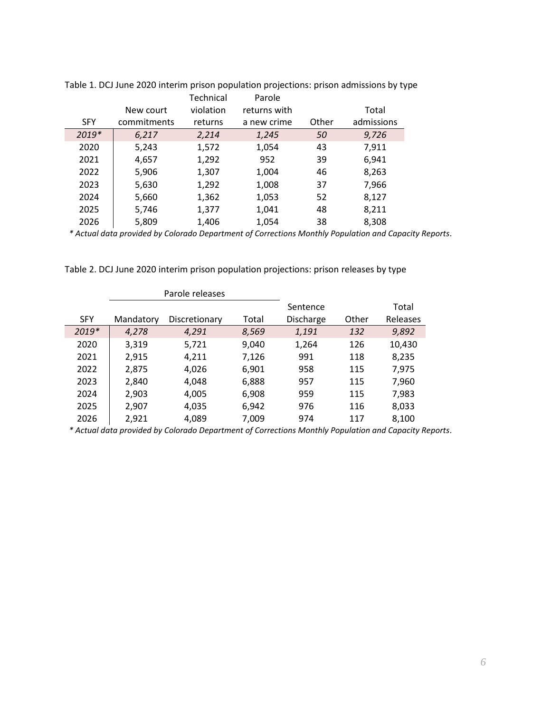|            |             | Technical | Parole       |       |            |
|------------|-------------|-----------|--------------|-------|------------|
|            | New court   | violation | returns with |       | Total      |
| <b>SFY</b> | commitments | returns   | a new crime  | Other | admissions |
| 2019*      | 6,217       | 2,214     | 1,245        | 50    | 9,726      |
| 2020       | 5,243       | 1,572     | 1,054        | 43    | 7,911      |
| 2021       | 4,657       | 1,292     | 952          | 39    | 6,941      |
| 2022       | 5,906       | 1,307     | 1,004        | 46    | 8,263      |
| 2023       | 5,630       | 1,292     | 1,008        | 37    | 7,966      |
| 2024       | 5,660       | 1,362     | 1,053        | 52    | 8,127      |
| 2025       | 5,746       | 1,377     | 1,041        | 48    | 8,211      |
| 2026       | 5,809       | 1,406     | 1,054        | 38    | 8,308      |

Table 1. DCJ June 2020 interim prison population projections: prison admissions by type

*\* Actual data provided by Colorado Department of Corrections Monthly Population and Capacity Reports.*

Table 2. DCJ June 2020 interim prison population projections: prison releases by type

|            | Parole releases |               |       |           |       |          |
|------------|-----------------|---------------|-------|-----------|-------|----------|
|            |                 |               |       | Sentence  |       | Total    |
| <b>SFY</b> | Mandatory       | Discretionary | Total | Discharge | Other | Releases |
| 2019*      | 4,278           | 4,291         | 8,569 | 1,191     | 132   | 9,892    |
| 2020       | 3,319           | 5,721         | 9,040 | 1,264     | 126   | 10,430   |
| 2021       | 2,915           | 4,211         | 7,126 | 991       | 118   | 8,235    |
| 2022       | 2,875           | 4,026         | 6,901 | 958       | 115   | 7,975    |
| 2023       | 2,840           | 4,048         | 6,888 | 957       | 115   | 7,960    |
| 2024       | 2,903           | 4,005         | 6,908 | 959       | 115   | 7,983    |
| 2025       | 2,907           | 4,035         | 6,942 | 976       | 116   | 8,033    |
| 2026       | 2,921           | 4,089         | 7,009 | 974       | 117   | 8,100    |

*\* Actual data provided by Colorado Department of Corrections Monthly Population and Capacity Reports.*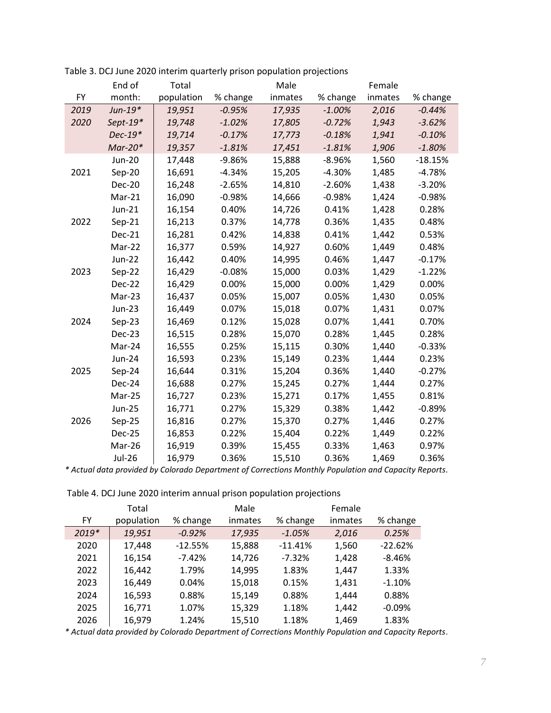|      | End of        | Total      |          | Male    |          | Female  |           |
|------|---------------|------------|----------|---------|----------|---------|-----------|
| FY   | month:        | population | % change | inmates | % change | inmates | % change  |
| 2019 | $Jun-19*$     | 19,951     | $-0.95%$ | 17,935  | $-1.00%$ | 2,016   | $-0.44%$  |
| 2020 | Sept- $19*$   | 19,748     | $-1.02%$ | 17,805  | $-0.72%$ | 1,943   | $-3.62%$  |
|      | Dec-19*       | 19,714     | $-0.17%$ | 17,773  | $-0.18%$ | 1,941   | $-0.10%$  |
|      | $Mar-20*$     | 19,357     | $-1.81%$ | 17,451  | $-1.81%$ | 1,906   | $-1.80%$  |
|      | <b>Jun-20</b> | 17,448     | $-9.86%$ | 15,888  | $-8.96%$ | 1,560   | $-18.15%$ |
| 2021 | Sep-20        | 16,691     | $-4.34%$ | 15,205  | $-4.30%$ | 1,485   | $-4.78%$  |
|      | <b>Dec-20</b> | 16,248     | $-2.65%$ | 14,810  | $-2.60%$ | 1,438   | $-3.20%$  |
|      | Mar-21        | 16,090     | $-0.98%$ | 14,666  | $-0.98%$ | 1,424   | $-0.98%$  |
|      | Jun-21        | 16,154     | 0.40%    | 14,726  | 0.41%    | 1,428   | 0.28%     |
| 2022 | $Sep-21$      | 16,213     | 0.37%    | 14,778  | 0.36%    | 1,435   | 0.48%     |
|      | Dec-21        | 16,281     | 0.42%    | 14,838  | 0.41%    | 1,442   | 0.53%     |
|      | Mar-22        | 16,377     | 0.59%    | 14,927  | 0.60%    | 1,449   | 0.48%     |
|      | <b>Jun-22</b> | 16,442     | 0.40%    | 14,995  | 0.46%    | 1,447   | $-0.17%$  |
| 2023 | Sep-22        | 16,429     | $-0.08%$ | 15,000  | 0.03%    | 1,429   | $-1.22%$  |
|      | Dec-22        | 16,429     | 0.00%    | 15,000  | 0.00%    | 1,429   | 0.00%     |
|      | Mar-23        | 16,437     | 0.05%    | 15,007  | 0.05%    | 1,430   | 0.05%     |
|      | Jun-23        | 16,449     | 0.07%    | 15,018  | 0.07%    | 1,431   | 0.07%     |
| 2024 | $Sep-23$      | 16,469     | 0.12%    | 15,028  | 0.07%    | 1,441   | 0.70%     |
|      | Dec-23        | 16,515     | 0.28%    | 15,070  | 0.28%    | 1,445   | 0.28%     |
|      | Mar-24        | 16,555     | 0.25%    | 15,115  | 0.30%    | 1,440   | $-0.33%$  |
|      | Jun-24        | 16,593     | 0.23%    | 15,149  | 0.23%    | 1,444   | 0.23%     |
| 2025 | Sep-24        | 16,644     | 0.31%    | 15,204  | 0.36%    | 1,440   | $-0.27%$  |
|      | Dec-24        | 16,688     | 0.27%    | 15,245  | 0.27%    | 1,444   | 0.27%     |
|      | Mar-25        | 16,727     | 0.23%    | 15,271  | 0.17%    | 1,455   | 0.81%     |
|      | <b>Jun-25</b> | 16,771     | 0.27%    | 15,329  | 0.38%    | 1,442   | $-0.89%$  |
| 2026 | Sep-25        | 16,816     | 0.27%    | 15,370  | 0.27%    | 1,446   | 0.27%     |
|      | Dec-25        | 16,853     | 0.22%    | 15,404  | 0.22%    | 1,449   | 0.22%     |
|      | Mar-26        | 16,919     | 0.39%    | 15,455  | 0.33%    | 1,463   | 0.97%     |
|      | <b>Jul-26</b> | 16,979     | 0.36%    | 15,510  | 0.36%    | 1,469   | 0.36%     |

Table 3. DCJ June 2020 interim quarterly prison population projections

*\* Actual data provided by Colorado Department of Corrections Monthly Population and Capacity Reports.*

Table 4. DCJ June 2020 interim annual prison population projections

|         | Total      |           | Male    |           | Female  |           |
|---------|------------|-----------|---------|-----------|---------|-----------|
| FY      | population | % change  | inmates | % change  | inmates | % change  |
| $2019*$ | 19,951     | $-0.92%$  | 17,935  | $-1.05%$  | 2,016   | 0.25%     |
| 2020    | 17,448     | $-12.55%$ | 15,888  | $-11.41%$ | 1,560   | $-22.62%$ |
| 2021    | 16,154     | $-7.42%$  | 14,726  | $-7.32%$  | 1,428   | $-8.46%$  |
| 2022    | 16,442     | 1.79%     | 14,995  | 1.83%     | 1,447   | 1.33%     |
| 2023    | 16,449     | 0.04%     | 15,018  | 0.15%     | 1,431   | $-1.10%$  |
| 2024    | 16,593     | 0.88%     | 15,149  | 0.88%     | 1,444   | 0.88%     |
| 2025    | 16,771     | 1.07%     | 15,329  | 1.18%     | 1,442   | $-0.09%$  |
| 2026    | 16,979     | 1.24%     | 15,510  | 1.18%     | 1,469   | 1.83%     |

*\* Actual data provided by Colorado Department of Corrections Monthly Population and Capacity Reports.*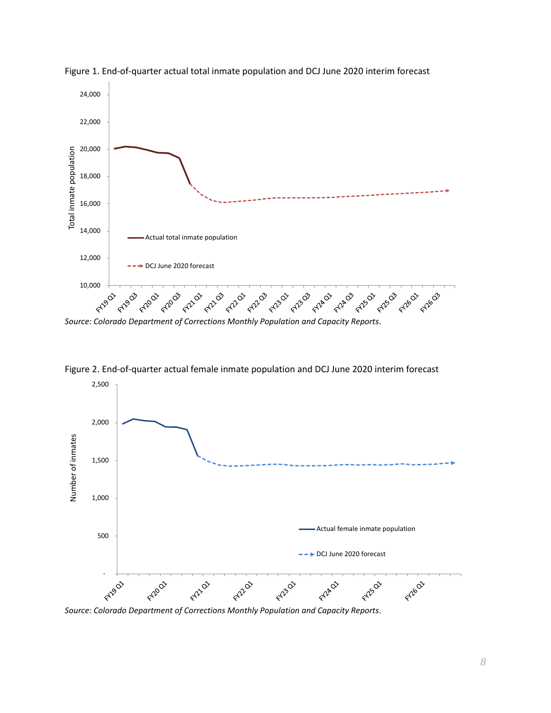

Figure 1. End-of-quarter actual total inmate population and DCJ June 2020 interim forecast



Figure 2. End-of-quarter actual female inmate population and DCJ June 2020 interim forecast